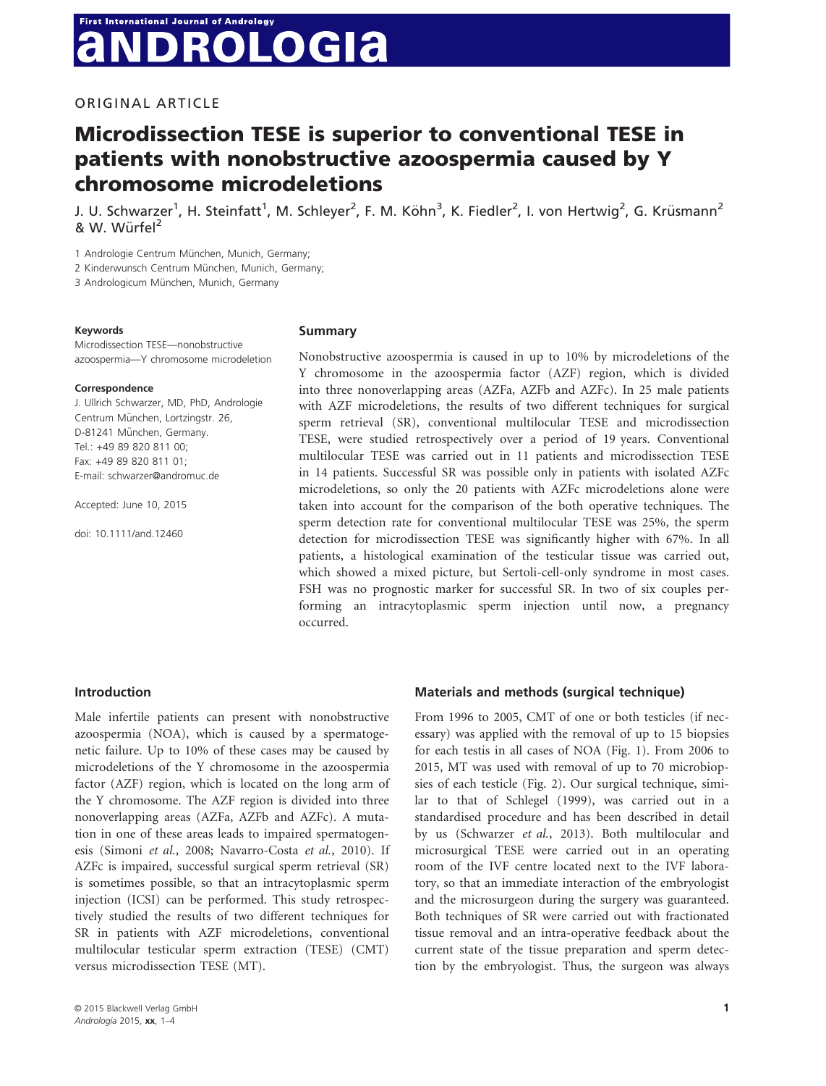# **First International Journal of Andrology ROLOGIA**

# ORIGINAL ARTICLE

# Microdissection TESE is superior to conventional TESE in patients with nonobstructive azoospermia caused by Y chromosome microdeletions

J. U. Schwarzer<sup>1</sup>, H. Steinfatt<sup>1</sup>, M. Schleyer<sup>2</sup>, F. M. Köhn<sup>3</sup>, K. Fiedler<sup>2</sup>, I. von Hertwig<sup>2</sup>, G. Krüsmann<sup>2</sup> & W. Würfel<sup>2</sup>

1 Andrologie Centrum München, Munich, Germany;

2 Kinderwunsch Centrum München, Munich, Germany;

3 Andrologicum München, Munich, Germany

#### Keywords

Microdissection TESE—nonobstructive azoospermia—Y chromosome microdeletion

#### Correspondence

J. Ullrich Schwarzer, MD, PhD, Andrologie Centrum München, Lortzingstr. 26, D-81241 München, Germany. Tel.: +49 89 820 811 00; Fax: +49 89 820 811 01; E-mail: schwarzer@andromuc.de

Accepted: June 10, 2015

doi: 10.1111/and.12460

## Summary

Nonobstructive azoospermia is caused in up to 10% by microdeletions of the Y chromosome in the azoospermia factor (AZF) region, which is divided into three nonoverlapping areas (AZFa, AZFb and AZFc). In 25 male patients with AZF microdeletions, the results of two different techniques for surgical sperm retrieval (SR), conventional multilocular TESE and microdissection TESE, were studied retrospectively over a period of 19 years. Conventional multilocular TESE was carried out in 11 patients and microdissection TESE in 14 patients. Successful SR was possible only in patients with isolated AZFc microdeletions, so only the 20 patients with AZFc microdeletions alone were taken into account for the comparison of the both operative techniques. The sperm detection rate for conventional multilocular TESE was 25%, the sperm detection for microdissection TESE was significantly higher with 67%. In all patients, a histological examination of the testicular tissue was carried out, which showed a mixed picture, but Sertoli-cell-only syndrome in most cases. FSH was no prognostic marker for successful SR. In two of six couples performing an intracytoplasmic sperm injection until now, a pregnancy occurred.

## Introduction

Male infertile patients can present with nonobstructive azoospermia (NOA), which is caused by a spermatogenetic failure. Up to 10% of these cases may be caused by microdeletions of the Y chromosome in the azoospermia factor (AZF) region, which is located on the long arm of the Y chromosome. The AZF region is divided into three nonoverlapping areas (AZFa, AZFb and AZFc). A mutation in one of these areas leads to impaired spermatogenesis (Simoni et al., 2008; Navarro-Costa et al., 2010). If AZFc is impaired, successful surgical sperm retrieval (SR) is sometimes possible, so that an intracytoplasmic sperm injection (ICSI) can be performed. This study retrospectively studied the results of two different techniques for SR in patients with AZF microdeletions, conventional multilocular testicular sperm extraction (TESE) (CMT) versus microdissection TESE (MT).

# Materials and methods (surgical technique)

From 1996 to 2005, CMT of one or both testicles (if necessary) was applied with the removal of up to 15 biopsies for each testis in all cases of NOA (Fig. 1). From 2006 to 2015, MT was used with removal of up to 70 microbiopsies of each testicle (Fig. 2). Our surgical technique, similar to that of Schlegel (1999), was carried out in a standardised procedure and has been described in detail by us (Schwarzer et al., 2013). Both multilocular and microsurgical TESE were carried out in an operating room of the IVF centre located next to the IVF laboratory, so that an immediate interaction of the embryologist and the microsurgeon during the surgery was guaranteed. Both techniques of SR were carried out with fractionated tissue removal and an intra-operative feedback about the current state of the tissue preparation and sperm detection by the embryologist. Thus, the surgeon was always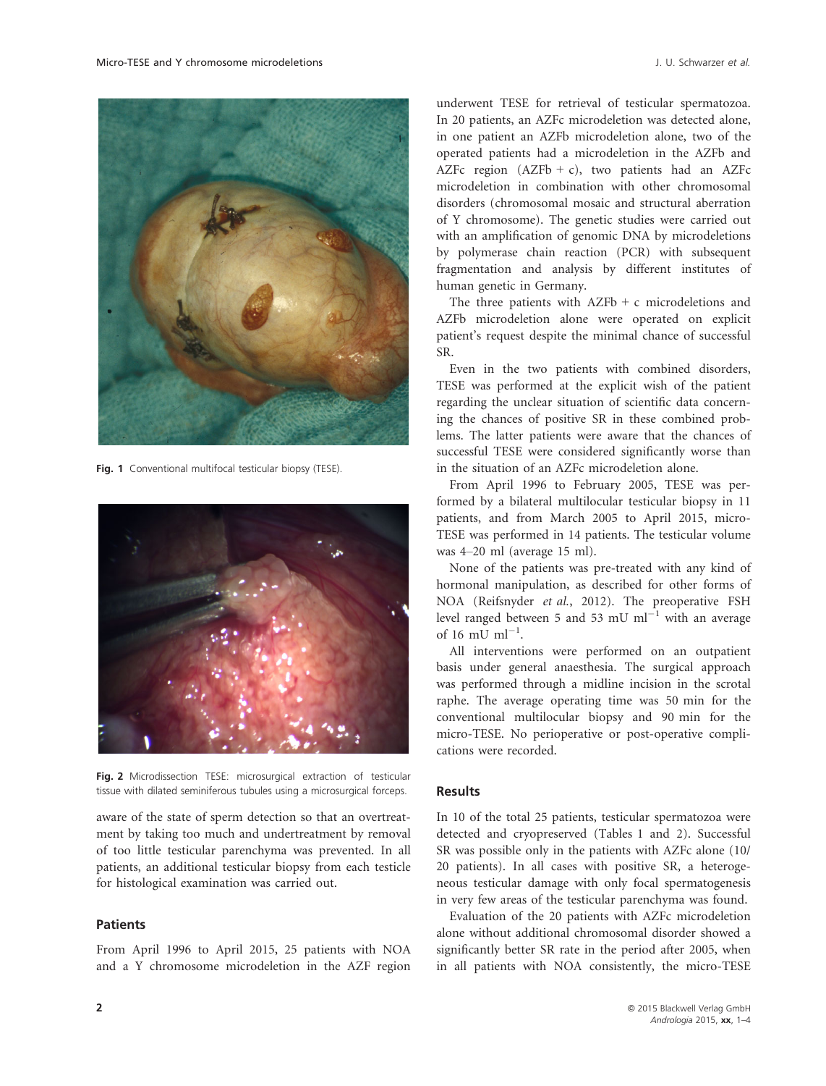

Fig. 1 Conventional multifocal testicular biopsy (TESE).



Fig. 2 Microdissection TESE: microsurgical extraction of testicular tissue with dilated seminiferous tubules using a microsurgical forceps.

aware of the state of sperm detection so that an overtreatment by taking too much and undertreatment by removal of too little testicular parenchyma was prevented. In all patients, an additional testicular biopsy from each testicle for histological examination was carried out.

#### **Patients**

From April 1996 to April 2015, 25 patients with NOA and a Y chromosome microdeletion in the AZF region

underwent TESE for retrieval of testicular spermatozoa. In 20 patients, an AZFc microdeletion was detected alone, in one patient an AZFb microdeletion alone, two of the operated patients had a microdeletion in the AZFb and AZFc region  $(AZFb + c)$ , two patients had an AZFc microdeletion in combination with other chromosomal disorders (chromosomal mosaic and structural aberration of Y chromosome). The genetic studies were carried out with an amplification of genomic DNA by microdeletions by polymerase chain reaction (PCR) with subsequent fragmentation and analysis by different institutes of human genetic in Germany.

The three patients with  $AZFb + c$  microdeletions and AZFb microdeletion alone were operated on explicit patient's request despite the minimal chance of successful SR.

Even in the two patients with combined disorders, TESE was performed at the explicit wish of the patient regarding the unclear situation of scientific data concerning the chances of positive SR in these combined problems. The latter patients were aware that the chances of successful TESE were considered significantly worse than in the situation of an AZFc microdeletion alone.

From April 1996 to February 2005, TESE was performed by a bilateral multilocular testicular biopsy in 11 patients, and from March 2005 to April 2015, micro-TESE was performed in 14 patients. The testicular volume was 4–20 ml (average 15 ml).

None of the patients was pre-treated with any kind of hormonal manipulation, as described for other forms of NOA (Reifsnyder et al., 2012). The preoperative FSH level ranged between 5 and 53 mU  $ml^{-1}$  with an average of 16 mU  $ml^{-1}$ .

All interventions were performed on an outpatient basis under general anaesthesia. The surgical approach was performed through a midline incision in the scrotal raphe. The average operating time was 50 min for the conventional multilocular biopsy and 90 min for the micro-TESE. No perioperative or post-operative complications were recorded.

## Results

In 10 of the total 25 patients, testicular spermatozoa were detected and cryopreserved (Tables 1 and 2). Successful SR was possible only in the patients with AZFc alone (10/ 20 patients). In all cases with positive SR, a heterogeneous testicular damage with only focal spermatogenesis in very few areas of the testicular parenchyma was found.

Evaluation of the 20 patients with AZFc microdeletion alone without additional chromosomal disorder showed a significantly better SR rate in the period after 2005, when in all patients with NOA consistently, the micro-TESE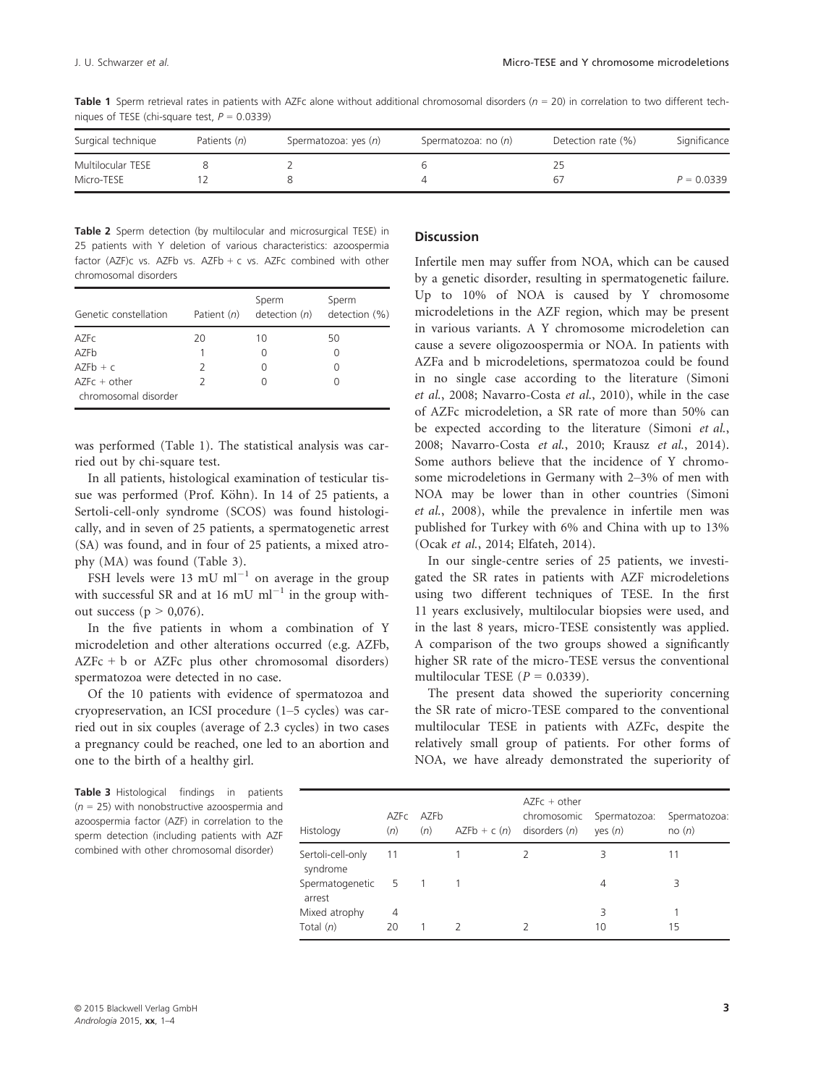Table 1 Sperm retrieval rates in patients with AZFc alone without additional chromosomal disorders ( $n = 20$ ) in correlation to two different techniques of TESE (chi-square test,  $P = 0.0339$ )

| Surgical technique | Patients (n) | Spermatozoa: yes (n) | Spermatozoa: no $(n)$ | Detection rate (%) | Significance |
|--------------------|--------------|----------------------|-----------------------|--------------------|--------------|
| Multilocular TESE  |              |                      |                       |                    |              |
| Micro-TESE         |              |                      |                       |                    | $P = 0.0339$ |

Table 2 Sperm detection (by multilocular and microsurgical TESE) in 25 patients with Y deletion of various characteristics: azoospermia factor (AZF)c vs. AZFb vs. AZFb + c vs. AZFc combined with other chromosomal disorders

| Genetic constellation                  | Patient $(n)$ | Sperm<br>detection $(n)$ | Sperm<br>detection (%) |
|----------------------------------------|---------------|--------------------------|------------------------|
| <b>AZFC</b>                            | 20            | 10                       | 50                     |
| AZFb                                   |               |                          |                        |
| $AZFb + c$                             | 2             |                          |                        |
| $AZFc + other$<br>chromosomal disorder | 2             |                          |                        |

was performed (Table 1). The statistical analysis was carried out by chi-square test.

In all patients, histological examination of testicular tissue was performed (Prof. Köhn). In 14 of 25 patients, a Sertoli-cell-only syndrome (SCOS) was found histologically, and in seven of 25 patients, a spermatogenetic arrest (SA) was found, and in four of 25 patients, a mixed atrophy (MA) was found (Table 3).

FSH levels were 13 mU  $ml^{-1}$  on average in the group with successful SR and at 16 mU  $ml^{-1}$  in the group without success ( $p > 0.076$ ).

In the five patients in whom a combination of Y microdeletion and other alterations occurred (e.g. AZFb, AZFc + b or AZFc plus other chromosomal disorders) spermatozoa were detected in no case.

Of the 10 patients with evidence of spermatozoa and cryopreservation, an ICSI procedure (1–5 cycles) was carried out in six couples (average of 2.3 cycles) in two cases a pregnancy could be reached, one led to an abortion and one to the birth of a healthy girl.

#### **Discussion**

Infertile men may suffer from NOA, which can be caused by a genetic disorder, resulting in spermatogenetic failure. Up to 10% of NOA is caused by Y chromosome microdeletions in the AZF region, which may be present in various variants. A Y chromosome microdeletion can cause a severe oligozoospermia or NOA. In patients with AZFa and b microdeletions, spermatozoa could be found in no single case according to the literature (Simoni et al., 2008; Navarro-Costa et al., 2010), while in the case of AZFc microdeletion, a SR rate of more than 50% can be expected according to the literature (Simoni et al., 2008; Navarro-Costa et al., 2010; Krausz et al., 2014). Some authors believe that the incidence of Y chromosome microdeletions in Germany with 2–3% of men with NOA may be lower than in other countries (Simoni et al., 2008), while the prevalence in infertile men was published for Turkey with 6% and China with up to 13% (Ocak et al., 2014; Elfateh, 2014).

In our single-centre series of 25 patients, we investigated the SR rates in patients with AZF microdeletions using two different techniques of TESE. In the first 11 years exclusively, multilocular biopsies were used, and in the last 8 years, micro-TESE consistently was applied. A comparison of the two groups showed a significantly higher SR rate of the micro-TESE versus the conventional multilocular TESE ( $P = 0.0339$ ).

The present data showed the superiority concerning the SR rate of micro-TESE compared to the conventional multilocular TESE in patients with AZFc, despite the relatively small group of patients. For other forms of NOA, we have already demonstrated the superiority of

Table 3 Histological findings in patients  $(n = 25)$  with nonobstructive azoospermia and azoospermia factor (AZF) in correlation to the sperm detection (including patients with AZF combined with other chromosomal disorder)

| Histology                     | (n) | AZFc AZFb<br>(n) |               | $AZFc + other$<br>chromosomic<br>$AZFb + c(n)$ disorders $(n)$ | Spermatozoa:<br>yes (n) | Spermatozoa:<br>no(n) |
|-------------------------------|-----|------------------|---------------|----------------------------------------------------------------|-------------------------|-----------------------|
| Sertoli-cell-only<br>syndrome | -11 |                  |               |                                                                | 3                       |                       |
| Spermatogenetic<br>arrest     | - 5 | $\sqrt{1}$       |               |                                                                | 4                       | 3                     |
| Mixed atrophy                 | 4   |                  |               |                                                                | 3                       |                       |
| Total $(n)$                   | 20  |                  | $\mathcal{L}$ |                                                                | 10                      | 15                    |